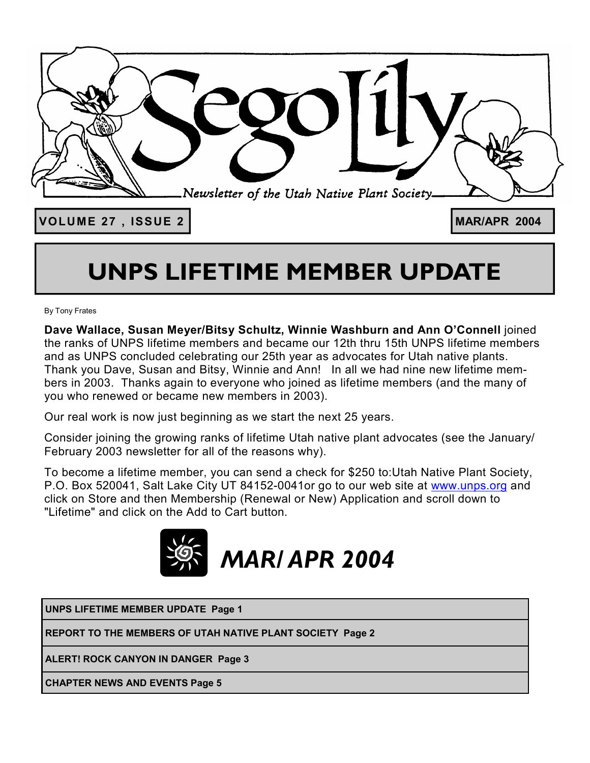

# **UNPS LIFETIME MEMBER UPDATE**

By Tony Frates

**Dave Wallace, Susan Meyer/Bitsy Schultz, Winnie Washburn and Ann O'Connell** joined the ranks of UNPS lifetime members and became our 12th thru 15th UNPS lifetime members and as UNPS concluded celebrating our 25th year as advocates for Utah native plants. Thank you Dave, Susan and Bitsy, Winnie and Ann! In all we had nine new lifetime members in 2003. Thanks again to everyone who joined as lifetime members (and the many of you who renewed or became new members in 2003).

Our real work is now just beginning as we start the next 25 years.

Consider joining the growing ranks of lifetime Utah native plant advocates (see the January/ February 2003 newsletter for all of the reasons why).

To become a lifetime member, you can send a check for \$250 to:Utah Native Plant Society, P.O. Box 520041, Salt Lake City UT 84152-0041or go to our web site at www.unps.org and click on Store and then Membership (Renewal or New) Application and scroll down to "Lifetime" and click on the Add to Cart button.



**UNPS LIFETIME MEMBER UPDATE Page 1**

**REPORT TO THE MEMBERS OF UTAH NATIVE PLANT SOCIETY Page 2**

**ALERT! ROCK CANYON IN DANGER Page 3** 

**CHAPTER NEWS AND EVENTS Page 5**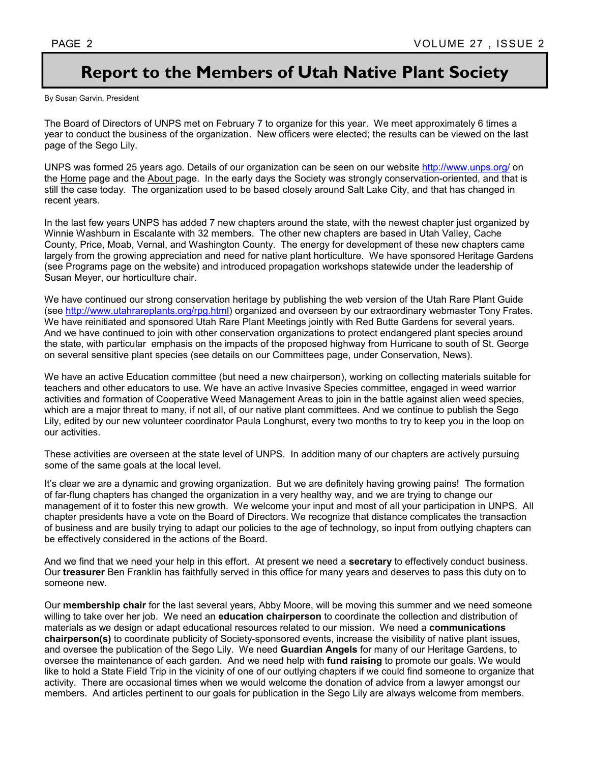# **Report to the Members of Utah Native Plant Society**

By Susan Garvin, President

The Board of Directors of UNPS met on February 7 to organize for this year. We meet approximately 6 times a year to conduct the business of the organization. New officers were elected; the results can be viewed on the last page of the Sego Lily.

UNPS was formed 25 years ago. Details of our organization can be seen on our website http://www.unps.org/ on the Home page and the About page. In the early days the Society was strongly conservation-oriented, and that is still the case today. The organization used to be based closely around Salt Lake City, and that has changed in recent years.

In the last few years UNPS has added 7 new chapters around the state, with the newest chapter just organized by Winnie Washburn in Escalante with 32 members. The other new chapters are based in Utah Valley, Cache County, Price, Moab, Vernal, and Washington County. The energy for development of these new chapters came largely from the growing appreciation and need for native plant horticulture. We have sponsored Heritage Gardens (see Programs page on the website) and introduced propagation workshops statewide under the leadership of Susan Meyer, our horticulture chair.

We have continued our strong conservation heritage by publishing the web version of the Utah Rare Plant Guide (see http://www.utahrareplants.org/rpg.html) organized and overseen by our extraordinary webmaster Tony Frates. We have reinitiated and sponsored Utah Rare Plant Meetings jointly with Red Butte Gardens for several years. And we have continued to join with other conservation organizations to protect endangered plant species around the state, with particular emphasis on the impacts of the proposed highway from Hurricane to south of St. George on several sensitive plant species (see details on our Committees page, under Conservation, News).

We have an active Education committee (but need a new chairperson), working on collecting materials suitable for teachers and other educators to use. We have an active Invasive Species committee, engaged in weed warrior activities and formation of Cooperative Weed Management Areas to join in the battle against alien weed species, which are a major threat to many, if not all, of our native plant committees. And we continue to publish the Sego Lily, edited by our new volunteer coordinator Paula Longhurst, every two months to try to keep you in the loop on our activities.

These activities are overseen at the state level of UNPS. In addition many of our chapters are actively pursuing some of the same goals at the local level.

It's clear we are a dynamic and growing organization. But we are definitely having growing pains! The formation of far-flung chapters has changed the organization in a very healthy way, and we are trying to change our management of it to foster this new growth. We welcome your input and most of all your participation in UNPS. All chapter presidents have a vote on the Board of Directors. We recognize that distance complicates the transaction of business and are busily trying to adapt our policies to the age of technology, so input from outlying chapters can be effectively considered in the actions of the Board.

And we find that we need your help in this effort. At present we need a **secretary** to effectively conduct business. Our **treasurer** Ben Franklin has faithfully served in this office for many years and deserves to pass this duty on to someone new.

Our **membership chair** for the last several years, Abby Moore, will be moving this summer and we need someone willing to take over her job. We need an **education chairperson** to coordinate the collection and distribution of materials as we design or adapt educational resources related to our mission. We need a **communications chairperson(s)** to coordinate publicity of Society-sponsored events, increase the visibility of native plant issues, and oversee the publication of the Sego Lily. We need **Guardian Angels** for many of our Heritage Gardens, to oversee the maintenance of each garden. And we need help with **fund raising** to promote our goals. We would like to hold a State Field Trip in the vicinity of one of our outlying chapters if we could find someone to organize that activity. There are occasional times when we would welcome the donation of advice from a lawyer amongst our members. And articles pertinent to our goals for publication in the Sego Lily are always welcome from members.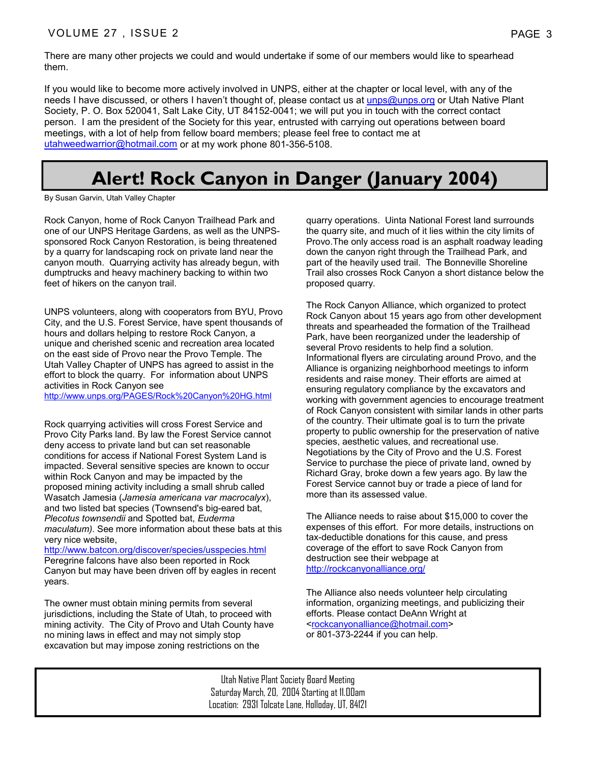There are many other projects we could and would undertake if some of our members would like to spearhead them.

If you would like to become more actively involved in UNPS, either at the chapter or local level, with any of the needs I have discussed, or others I haven't thought of, please contact us at unps@unps.org or Utah Native Plant Society, P. O. Box 520041, Salt Lake City, UT 84152-0041; we will put you in touch with the correct contact person. I am the president of the Society for this year, entrusted with carrying out operations between board meetings, with a lot of help from fellow board members; please feel free to contact me at utahweedwarrior@hotmail.com or at my work phone 801-356-5108.

# **Alert! Rock Canyon in Danger (January 2004)**

By Susan Garvin, Utah Valley Chapter

Rock Canyon, home of Rock Canyon Trailhead Park and one of our UNPS Heritage Gardens, as well as the UNPSsponsored Rock Canyon Restoration, is being threatened by a quarry for landscaping rock on private land near the canyon mouth. Quarrying activity has already begun, with dumptrucks and heavy machinery backing to within two feet of hikers on the canyon trail.

UNPS volunteers, along with cooperators from BYU, Provo City, and the U.S. Forest Service, have spent thousands of hours and dollars helping to restore Rock Canyon, a unique and cherished scenic and recreation area located on the east side of Provo near the Provo Temple. The Utah Valley Chapter of UNPS has agreed to assist in the effort to block the quarry. For information about UNPS activities in Rock Canyon see

http://www.unps.org/PAGES/Rock%20Canyon%20HG.html

Rock quarrying activities will cross Forest Service and Provo City Parks land. By law the Forest Service cannot deny access to private land but can set reasonable conditions for access if National Forest System Land is impacted. Several sensitive species are known to occur within Rock Canyon and may be impacted by the proposed mining activity including a small shrub called Wasatch Jamesia (*Jamesia americana var macrocalyx*), and two listed bat species (Townsend's big-eared bat, *Plecotus townsendii* and Spotted bat, *Euderma maculatum)*. See more information about these bats at this very nice website,

http://www.batcon.org/discover/species/usspecies.html Peregrine falcons have also been reported in Rock Canyon but may have been driven off by eagles in recent years.

The owner must obtain mining permits from several jurisdictions, including the State of Utah, to proceed with mining activity. The City of Provo and Utah County have no mining laws in effect and may not simply stop excavation but may impose zoning restrictions on the

quarry operations. Uinta National Forest land surrounds the quarry site, and much of it lies within the city limits of Provo.The only access road is an asphalt roadway leading down the canyon right through the Trailhead Park, and part of the heavily used trail. The Bonneville Shoreline Trail also crosses Rock Canyon a short distance below the proposed quarry.

The Rock Canyon Alliance, which organized to protect Rock Canyon about 15 years ago from other development threats and spearheaded the formation of the Trailhead Park, have been reorganized under the leadership of several Provo residents to help find a solution. Informational flyers are circulating around Provo, and the Alliance is organizing neighborhood meetings to inform residents and raise money. Their efforts are aimed at ensuring regulatory compliance by the excavators and working with government agencies to encourage treatment of Rock Canyon consistent with similar lands in other parts of the country. Their ultimate goal is to turn the private property to public ownership for the preservation of native species, aesthetic values, and recreational use. Negotiations by the City of Provo and the U.S. Forest Service to purchase the piece of private land, owned by Richard Gray, broke down a few years ago. By law the Forest Service cannot buy or trade a piece of land for more than its assessed value.

The Alliance needs to raise about \$15,000 to cover the expenses of this effort. For more details, instructions on tax-deductible donations for this cause, and press coverage of the effort to save Rock Canyon from destruction see their webpage at http://rockcanyonalliance.org/

The Alliance also needs volunteer help circulating information, organizing meetings, and publicizing their efforts. Please contact DeAnn Wright at <rockcanyonalliance@hotmail.com> or 801-373-2244 if you can help.

Utah Native Plant Society Board Meeting Saturday March, 20, 2004 Starting at 11.00am Location: 2931 Tolcate Lane, Holloday, UT, 84121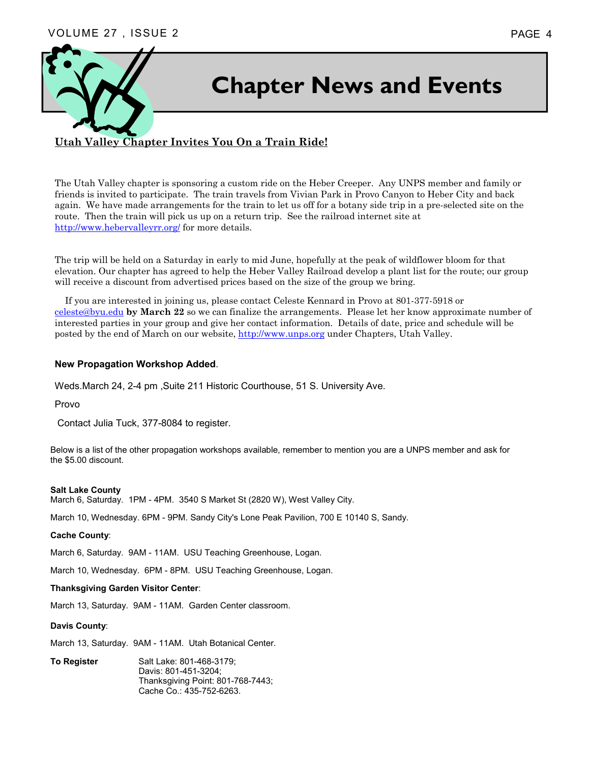

### **Utah Valley Chapter Invites You On a Train Ride!**

The Utah Valley chapter is sponsoring a custom ride on the Heber Creeper. Any UNPS member and family or friends is invited to participate. The train travels from Vivian Park in Provo Canyon to Heber City and back again. We have made arrangements for the train to let us off for a botany side trip in a pre-selected site on the route. Then the train will pick us up on a return trip. See the railroad internet site at http://www.hebervalleyrr.org/ for more details.

The trip will be held on a Saturday in early to mid June, hopefully at the peak of wildflower bloom for that elevation. Our chapter has agreed to help the Heber Valley Railroad develop a plant list for the route; our group will receive a discount from advertised prices based on the size of the group we bring.

 If you are interested in joining us, please contact Celeste Kennard in Provo at 801-377-5918 or celeste@byu.edu **by March 22** so we can finalize the arrangements. Please let her know approximate number of interested parties in your group and give her contact information. Details of date, price and schedule will be posted by the end of March on our website, http://www.unps.org under Chapters, Utah Valley.

#### **New Propagation Workshop Added**.

Weds.March 24, 2-4 pm ,Suite 211 Historic Courthouse, 51 S. University Ave.

Provo

Contact Julia Tuck, 377-8084 to register.

Below is a list of the other propagation workshops available, remember to mention you are a UNPS member and ask for the \$5.00 discount.

#### **Salt Lake County**

March 6, Saturday. 1PM - 4PM. 3540 S Market St (2820 W), West Valley City.

March 10, Wednesday. 6PM - 9PM. Sandy City's Lone Peak Pavilion, 700 E 10140 S, Sandy.

#### **Cache County**:

March 6, Saturday. 9AM - 11AM. USU Teaching Greenhouse, Logan.

March 10, Wednesday. 6PM - 8PM. USU Teaching Greenhouse, Logan.

#### **Thanksgiving Garden Visitor Center**:

March 13, Saturday. 9AM - 11AM. Garden Center classroom.

#### **Davis County**:

March 13, Saturday. 9AM - 11AM. Utah Botanical Center.

**To Register Salt Lake: 801-468-3179;**  Davis: 801-451-3204; Thanksgiving Point: 801-768-7443; Cache Co.: 435-752-6263.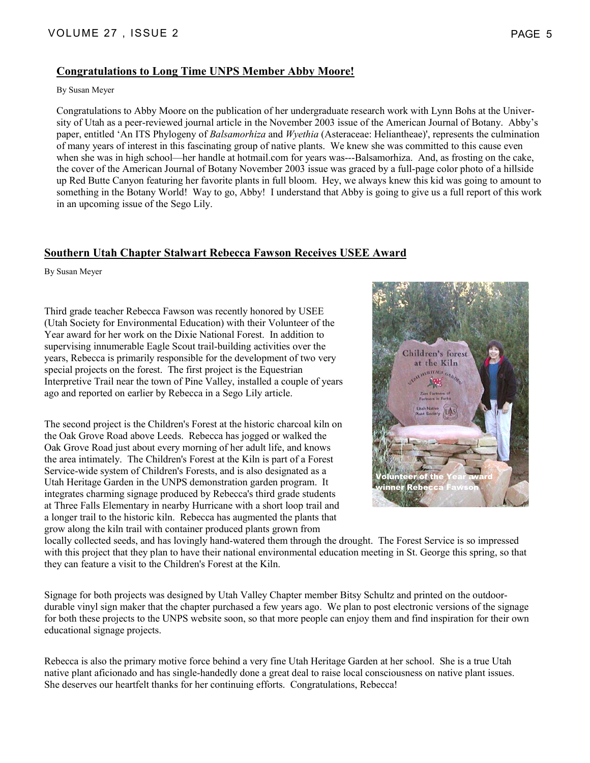### **Congratulations to Long Time UNPS Member Abby Moore!**

By Susan Meyer

Congratulations to Abby Moore on the publication of her undergraduate research work with Lynn Bohs at the University of Utah as a peer-reviewed journal article in the November 2003 issue of the American Journal of Botany. Abby's paper, entitled 'An ITS Phylogeny of *Balsamorhiza* and *Wyethia* (Asteraceae: Heliantheae)', represents the culmination of many years of interest in this fascinating group of native plants. We knew she was committed to this cause even when she was in high school—her handle at hotmail.com for years was---Balsamorhiza. And, as frosting on the cake, the cover of the American Journal of Botany November 2003 issue was graced by a full-page color photo of a hillside up Red Butte Canyon featuring her favorite plants in full bloom. Hey, we always knew this kid was going to amount to something in the Botany World! Way to go, Abby! I understand that Abby is going to give us a full report of this work in an upcoming issue of the Sego Lily.

#### **Southern Utah Chapter Stalwart Rebecca Fawson Receives USEE Award**

By Susan Meyer

Third grade teacher Rebecca Fawson was recently honored by USEE (Utah Society for Environmental Education) with their Volunteer of the Year award for her work on the Dixie National Forest. In addition to supervising innumerable Eagle Scout trail-building activities over the years, Rebecca is primarily responsible for the development of two very special projects on the forest. The first project is the Equestrian Interpretive Trail near the town of Pine Valley, installed a couple of years ago and reported on earlier by Rebecca in a Sego Lily article.

The second project is the Children's Forest at the historic charcoal kiln on the Oak Grove Road above Leeds. Rebecca has jogged or walked the Oak Grove Road just about every morning of her adult life, and knows the area intimately. The Children's Forest at the Kiln is part of a Forest Service-wide system of Children's Forests, and is also designated as a Utah Heritage Garden in the UNPS demonstration garden program. It integrates charming signage produced by Rebecca's third grade students at Three Falls Elementary in nearby Hurricane with a short loop trail and a longer trail to the historic kiln. Rebecca has augmented the plants that grow along the kiln trail with container produced plants grown from



locally collected seeds, and has lovingly hand-watered them through the drought. The Forest Service is so impressed with this project that they plan to have their national environmental education meeting in St. George this spring, so that they can feature a visit to the Children's Forest at the Kiln.

Signage for both projects was designed by Utah Valley Chapter member Bitsy Schultz and printed on the outdoordurable vinyl sign maker that the chapter purchased a few years ago. We plan to post electronic versions of the signage for both these projects to the UNPS website soon, so that more people can enjoy them and find inspiration for their own educational signage projects.

Rebecca is also the primary motive force behind a very fine Utah Heritage Garden at her school. She is a true Utah native plant aficionado and has single-handedly done a great deal to raise local consciousness on native plant issues. She deserves our heartfelt thanks for her continuing efforts. Congratulations, Rebecca!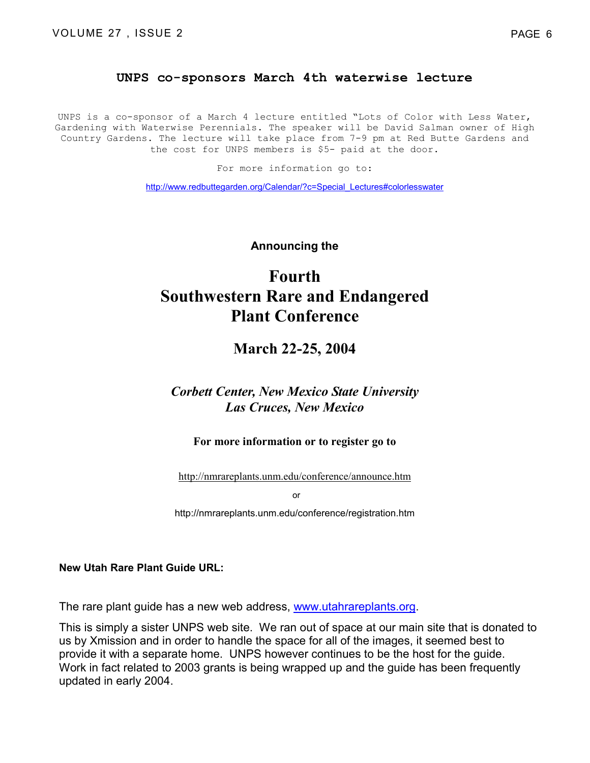#### **UNPS co-sponsors March 4th waterwise lecture**

UNPS is a co-sponsor of a March 4 lecture entitled "Lots of Color with Less Water, Gardening with Waterwise Perennials. The speaker will be David Salman owner of High Country Gardens. The lecture will take place from 7-9 pm at Red Butte Gardens and the cost for UNPS members is \$5- paid at the door.

For more information go to:

http://www.redbuttegarden.org/Calendar/?c=Special\_Lectures#colorlesswater

**Announcing the** 

# **Fourth Southwestern Rare and Endangered Plant Conference**

### **March 22-25, 2004**

### *Corbett Center, New Mexico State University Las Cruces, New Mexico*

#### **For more information or to register go to**

http://nmrareplants.unm.edu/conference/announce.htm

or

http://nmrareplants.unm.edu/conference/registration.htm

**New Utah Rare Plant Guide URL:** 

The rare plant guide has a new web address, www.utahrareplants.org.

This is simply a sister UNPS web site. We ran out of space at our main site that is donated to us by Xmission and in order to handle the space for all of the images, it seemed best to provide it with a separate home. UNPS however continues to be the host for the guide. Work in fact related to 2003 grants is being wrapped up and the guide has been frequently updated in early 2004.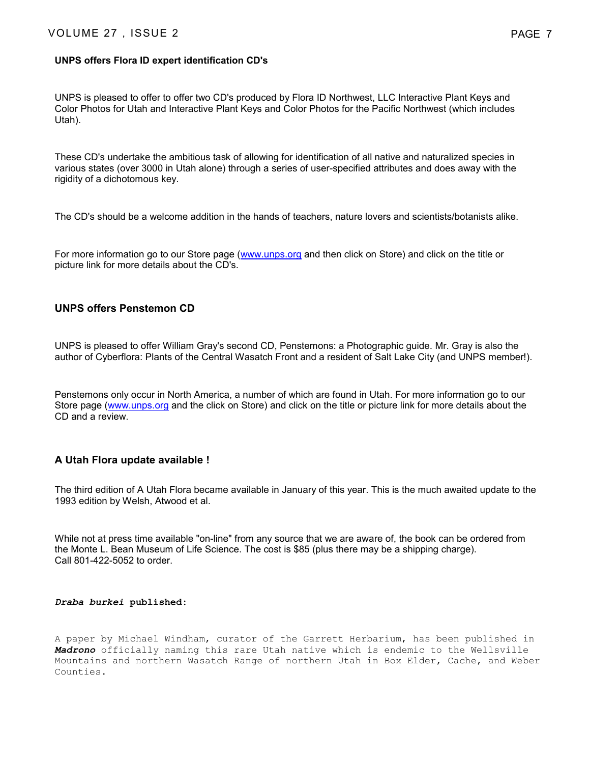#### **UNPS offers Flora ID expert identification CD's**

UNPS is pleased to offer to offer two CD's produced by Flora ID Northwest, LLC Interactive Plant Keys and Color Photos for Utah and Interactive Plant Keys and Color Photos for the Pacific Northwest (which includes Utah).

These CD's undertake the ambitious task of allowing for identification of all native and naturalized species in various states (over 3000 in Utah alone) through a series of user-specified attributes and does away with the rigidity of a dichotomous key.

The CD's should be a welcome addition in the hands of teachers, nature lovers and scientists/botanists alike.

For more information go to our Store page (www.unps.org and then click on Store) and click on the title or picture link for more details about the CD's.

#### **UNPS offers Penstemon CD**

UNPS is pleased to offer William Gray's second CD, Penstemons: a Photographic guide. Mr. Gray is also the author of Cyberflora: Plants of the Central Wasatch Front and a resident of Salt Lake City (and UNPS member!).

Penstemons only occur in North America, a number of which are found in Utah. For more information go to our Store page (www.unps.org and the click on Store) and click on the title or picture link for more details about the CD and a review.

#### **A Utah Flora update available !**

The third edition of A Utah Flora became available in January of this year. This is the much awaited update to the 1993 edition by Welsh, Atwood et al.

While not at press time available "on-line" from any source that we are aware of, the book can be ordered from the Monte L. Bean Museum of Life Science. The cost is \$85 (plus there may be a shipping charge). Call 801-422-5052 to order.

#### *Draba burkei* **published:**

A paper by Michael Windham, curator of the Garrett Herbarium, has been published in *Madrono* officially naming this rare Utah native which is endemic to the Wellsville Mountains and northern Wasatch Range of northern Utah in Box Elder, Cache, and Weber Counties.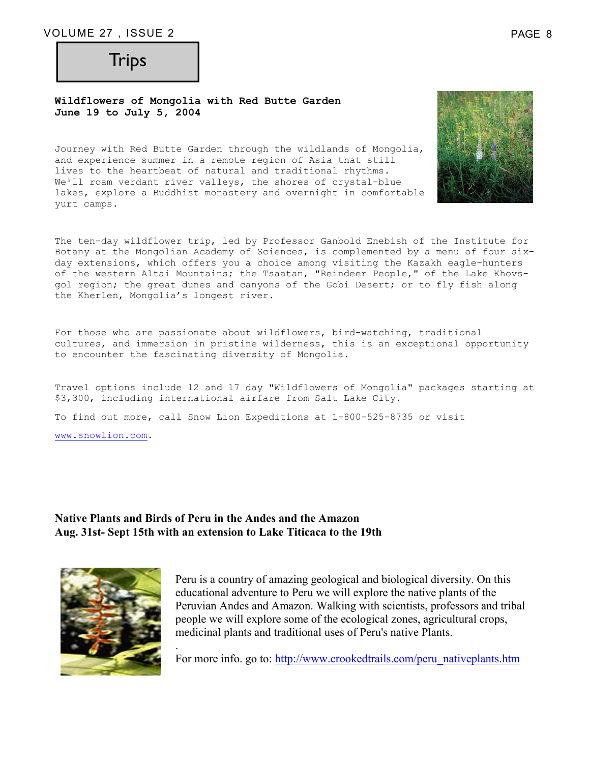# **Trips**

#### **Wildflowers of Mongolia with Red Butte Garden June 19 to July 5, 2004**

Journey with Red Butte Garden through the wildlands of Mongolia, and experience summer in a remote region of Asia that still lives to the heartbeat of natural and traditional rhythms. We<sup>1</sup>ll roam verdant river valleys, the shores of crystal-blue lakes, explore a Buddhist monastery and overnight in comfortable yurt camps.

The ten-day wildflower trip, led by Professor Ganbold Enebish of the Institute for Botany at the Mongolian Academy of Sciences, is complemented by a menu of four sixday extensions, which offers you a choice among visiting the Kazakh eagle-hunters of the western Altai Mountains; the Tsaatan, "Reindeer People," of the Lake Khovsgol region; the great dunes and canyons of the Gobi Desert; or to fly fish along the Kherlen, Mongolia's longest river.

For those who are passionate about wildflowers, bird-watching, traditional cultures, and immersion in pristine wilderness, this is an exceptional opportunity to encounter the fascinating diversity of Mongolia.

Travel options include 12 and 17 day "Wildflowers of Mongolia" packages starting at \$3,300, including international airfare from Salt Lake City.

To find out more, call Snow Lion Expeditions at 1-800-525-8735 or visit

www.snowlion.com.

### **Native Plants and Birds of Peru in the Andes and the Amazon Aug. 31st- Sept 15th with an extension to Lake Titicaca to the 19th**

.



Peru is a country of amazing geological and biological diversity. On this educational adventure to Peru we will explore the native plants of the Peruvian Andes and Amazon. Walking with scientists, professors and tribal people we will explore some of the ecological zones, agricultural crops, medicinal plants and traditional uses of Peru's native Plants.

For more info. go to: http://www.crookedtrails.com/peru\_nativeplants.htm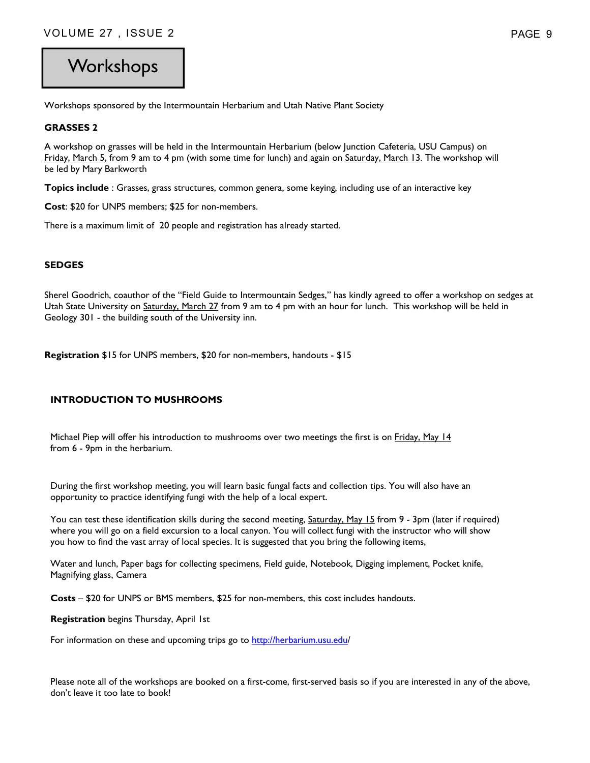# **Workshops**

Workshops sponsored by the Intermountain Herbarium and Utah Native Plant Society

#### **GRASSES 2**

A workshop on grasses will be held in the Intermountain Herbarium (below Junction Cafeteria, USU Campus) on Friday, March 5, from 9 am to 4 pm (with some time for lunch) and again on Saturday, March 13. The workshop will be led by Mary Barkworth

**Topics include** : Grasses, grass structures, common genera, some keying, including use of an interactive key

**Cost**: \$20 for UNPS members; \$25 for non-members.

There is a maximum limit of 20 people and registration has already started.

#### **SEDGES**

Sherel Goodrich, coauthor of the "Field Guide to Intermountain Sedges," has kindly agreed to offer a workshop on sedges at Utah State University on Saturday, March 27 from 9 am to 4 pm with an hour for lunch. This workshop will be held in Geology 301 - the building south of the University inn.

**Registration** \$15 for UNPS members, \$20 for non-members, handouts - \$15

#### **INTRODUCTION TO MUSHROOMS**

Michael Piep will offer his introduction to mushrooms over two meetings the first is on Friday, May 14 from 6 - 9pm in the herbarium.

During the first workshop meeting, you will learn basic fungal facts and collection tips. You will also have an opportunity to practice identifying fungi with the help of a local expert.

You can test these identification skills during the second meeting, Saturday, May 15 from 9 - 3pm (later if required) where you will go on a field excursion to a local canyon. You will collect fungi with the instructor who will show you how to find the vast array of local species. It is suggested that you bring the following items,

Water and lunch, Paper bags for collecting specimens, Field guide, Notebook, Digging implement, Pocket knife, Magnifying glass, Camera

**Costs** – \$20 for UNPS or BMS members, \$25 for non-members, this cost includes handouts.

**Registration** begins Thursday, April 1st

For information on these and upcoming trips go to http://herbarium.usu.edu/

Please note all of the workshops are booked on a first-come, first-served basis so if you are interested in any of the above, don't leave it too late to book!